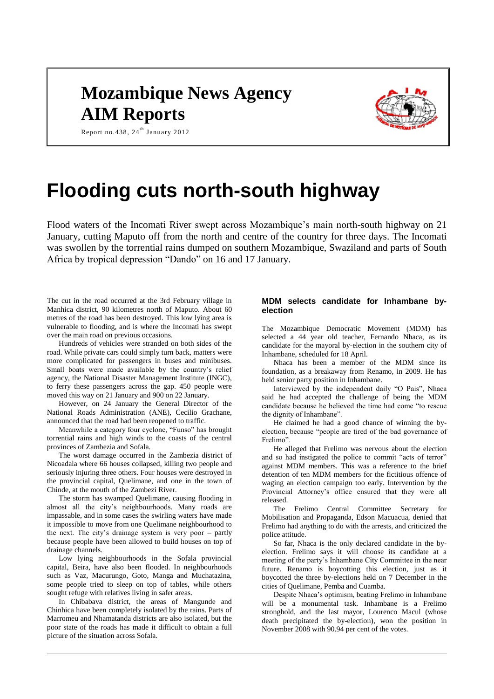## **Mozambique News Agency AIM Reports**



### Report no.438,  $24^{th}$  January 2012

# **Flooding cuts north-south highway**

Flood waters of the Incomati River swept across Mozambique's main north-south highway on 21 January, cutting Maputo off from the north and centre of the country for three days. The Incomati was swollen by the torrential rains dumped on southern Mozambique, Swaziland and parts of South Africa by tropical depression "Dando" on 16 and 17 January.

The cut in the road occurred at the 3rd February village in Manhica district, 90 kilometres north of Maputo. About 60 metres of the road has been destroyed. This low lying area is vulnerable to flooding, and is where the Incomati has swept over the main road on previous occasions.

Hundreds of vehicles were stranded on both sides of the road. While private cars could simply turn back, matters were more complicated for passengers in buses and minibuses. Small boats were made available by the country's relief agency, the National Disaster Management Institute (INGC), to ferry these passengers across the gap. 450 people were moved this way on 21 January and 900 on 22 January.

However, on 24 January the General Director of the National Roads Administration (ANE), Cecilio Grachane, announced that the road had been reopened to traffic.

Meanwhile a category four cyclone, "Funso" has brought torrential rains and high winds to the coasts of the central provinces of Zambezia and Sofala.

The worst damage occurred in the Zambezia district of Nicoadala where 66 houses collapsed, killing two people and seriously injuring three others. Four houses were destroyed in the provincial capital, Quelimane, and one in the town of Chinde, at the mouth of the Zambezi River.

The storm has swamped Quelimane, causing flooding in almost all the city's neighbourhoods. Many roads are impassable, and in some cases the swirling waters have made it impossible to move from one Quelimane neighbourhood to the next. The city's drainage system is very poor – partly because people have been allowed to build houses on top of drainage channels.

Low lying neighbourhoods in the Sofala provincial capital, Beira, have also been flooded. In neighbourhoods such as Vaz, Macurungo, Goto, Manga and Muchatazina, some people tried to sleep on top of tables, while others sought refuge with relatives living in safer areas.

In Chibabava district, the areas of Mangunde and Chinhica have been completely isolated by the rains. Parts of Marromeu and Nhamatanda districts are also isolated, but the poor state of the roads has made it difficult to obtain a full picture of the situation across Sofala.

#### **MDM selects candidate for Inhambane byelection**

The Mozambique Democratic Movement (MDM) has selected a 44 year old teacher, Fernando Nhaca, as its candidate for the mayoral by-election in the southern city of Inhambane, scheduled for 18 April.

Nhaca has been a member of the MDM since its foundation, as a breakaway from Renamo, in 2009. He has held senior party position in Inhambane.

Interviewed by the independent daily "O Pais", Nhaca said he had accepted the challenge of being the MDM candidate because he believed the time had come "to rescue the dignity of Inhambane".

He claimed he had a good chance of winning the byelection, because "people are tired of the bad governance of Frelimo".

He alleged that Frelimo was nervous about the election and so had instigated the police to commit "acts of terror" against MDM members. This was a reference to the brief detention of ten MDM members for the fictitious offence of waging an election campaign too early. Intervention by the Provincial Attorney's office ensured that they were all released.

The Frelimo Central Committee Secretary for Mobilisation and Propaganda, Edson Macuacua, denied that Frelimo had anything to do with the arrests, and criticized the police attitude.

So far, Nhaca is the only declared candidate in the byelection. Frelimo says it will choose its candidate at a meeting of the party's Inhambane City Committee in the near future. Renamo is boycotting this election, just as it boycotted the three by-elections held on 7 December in the cities of Quelimane, Pemba and Cuamba.

Despite Nhaca's optimism, beating Frelimo in Inhambane will be a monumental task. Inhambane is a Frelimo stronghold, and the last mayor, Lourenco Macul (whose death precipitated the by-election), won the position in November 2008 with 90.94 per cent of the votes.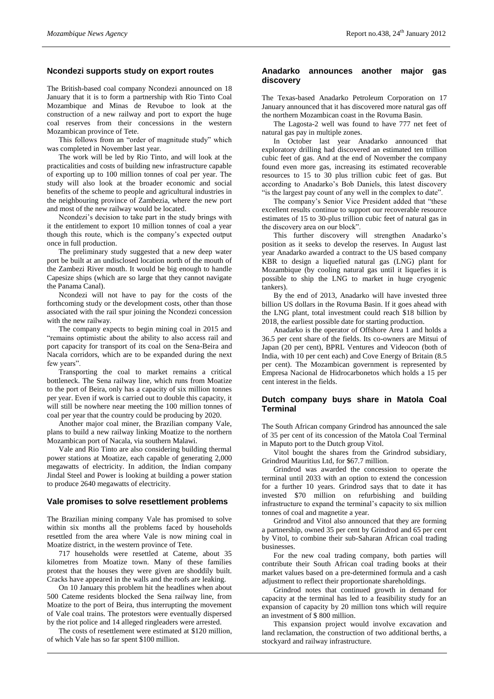#### **Ncondezi supports study on export routes**

The British-based coal company Ncondezi announced on 18 January that it is to form a partnership with Rio Tinto Coal Mozambique and Minas de Revuboe to look at the construction of a new railway and port to export the huge coal reserves from their concessions in the western Mozambican province of Tete.

This follows from an "order of magnitude study" which was completed in November last year.

The work will be led by Rio Tinto, and will look at the practicalities and costs of building new infrastructure capable of exporting up to 100 million tonnes of coal per year. The study will also look at the broader economic and social benefits of the scheme to people and agricultural industries in the neighbouring province of Zambezia, where the new port and most of the new railway would be located.

Ncondezi's decision to take part in the study brings with it the entitlement to export 10 million tonnes of coal a year though this route, which is the company's expected output once in full production.

The preliminary study suggested that a new deep water port be built at an undisclosed location north of the mouth of the Zambezi River mouth. It would be big enough to handle Capesize ships (which are so large that they cannot navigate the Panama Canal).

Ncondezi will not have to pay for the costs of the forthcoming study or the development costs, other than those associated with the rail spur joining the Ncondezi concession with the new railway.

The company expects to begin mining coal in 2015 and "remains optimistic about the ability to also access rail and port capacity for transport of its coal on the Sena-Beira and Nacala corridors, which are to be expanded during the next few years".

Transporting the coal to market remains a critical bottleneck. The Sena railway line, which runs from Moatize to the port of Beira, only has a capacity of six million tonnes per year. Even if work is carried out to double this capacity, it will still be nowhere near meeting the 100 million tonnes of coal per year that the country could be producing by 2020.

Another major coal miner, the Brazilian company Vale, plans to build a new railway linking Moatize to the northern Mozambican port of Nacala, via southern Malawi.

Vale and Rio Tinto are also considering building thermal power stations at Moatize, each capable of generating 2,000 megawatts of electricity. In addition, the Indian company Jindal Steel and Power is looking at building a power station to produce 2640 megawatts of electricity.

#### **Vale promises to solve resettlement problems**

The Brazilian mining company Vale has promised to solve within six months all the problems faced by households resettled from the area where Vale is now mining coal in Moatize district, in the western province of Tete.

717 households were resettled at Cateme, about 35 kilometres from Moatize town. Many of these families protest that the houses they were given are shoddily built. Cracks have appeared in the walls and the roofs are leaking.

On 10 January this problem hit the headlines when about 500 Cateme residents blocked the Sena railway line, from Moatize to the port of Beira, thus interrupting the movement of Vale coal trains. The protestors were eventually dispersed by the riot police and 14 alleged ringleaders were arrested.

The costs of resettlement were estimated at \$120 million, of which Vale has so far spent \$100 million.

#### **Anadarko announces another major gas discovery**

The Texas-based Anadarko Petroleum Corporation on 17 January announced that it has discovered more natural gas off the northern Mozambican coast in the Rovuma Basin.

The Lagosta-2 well was found to have 777 net feet of natural gas pay in multiple zones.

In October last year Anadarko announced that exploratory drilling had discovered an estimated ten trillion cubic feet of gas. And at the end of November the company found even more gas, increasing its estimated recoverable resources to 15 to 30 plus trillion cubic feet of gas. But according to Anadarko's Bob Daniels, this latest discovery "is the largest pay count of any well in the complex to date".

The company's Senior Vice President added that "these excellent results continue to support our recoverable resource estimates of 15 to 30-plus trillion cubic feet of natural gas in the discovery area on our block".

This further discovery will strengthen Anadarko's position as it seeks to develop the reserves. In August last year Anadarko awarded a contract to the US based company KBR to design a liquefied natural gas (LNG) plant for Mozambique (by cooling natural gas until it liquefies it is possible to ship the LNG to market in huge cryogenic tankers).

By the end of 2013, Anadarko will have invested three billion US dollars in the Rovuma Basin. If it goes ahead with the LNG plant, total investment could reach \$18 billion by 2018, the earliest possible date for starting production.

Anadarko is the operator of Offshore Area 1 and holds a 36.5 per cent share of the fields. Its co-owners are Mitsui of Japan (20 per cent), BPRL Ventures and Videocon (both of India, with 10 per cent each) and Cove Energy of Britain (8.5 per cent). The Mozambican government is represented by Empresa Nacional de Hidrocarbonetos which holds a 15 per cent interest in the fields.

#### **Dutch company buys share in Matola Coal Terminal**

The South African company Grindrod has announced the sale of 35 per cent of its concession of the Matola Coal Terminal in Maputo port to the Dutch group Vitol.

Vitol bought the shares from the Grindrod subsidiary, Grindrod Mauritius Ltd, for \$67.7 million.

Grindrod was awarded the concession to operate the terminal until 2033 with an option to extend the concession for a further 10 years. Grindrod says that to date it has invested \$70 million on refurbishing and building infrastructure to expand the terminal's capacity to six million tonnes of coal and magnetite a year.

Grindrod and Vitol also announced that they are forming a partnership, owned 35 per cent by Grindrod and 65 per cent by Vitol, to combine their sub-Saharan African coal trading businesses.

For the new coal trading company, both parties will contribute their South African coal trading books at their market values based on a pre-determined formula and a cash adjustment to reflect their proportionate shareholdings.

Grindrod notes that continued growth in demand for capacity at the terminal has led to a feasibility study for an expansion of capacity by 20 million tons which will require an investment of \$ 800 million.

This expansion project would involve excavation and land reclamation, the construction of two additional berths, a stockyard and railway infrastructure.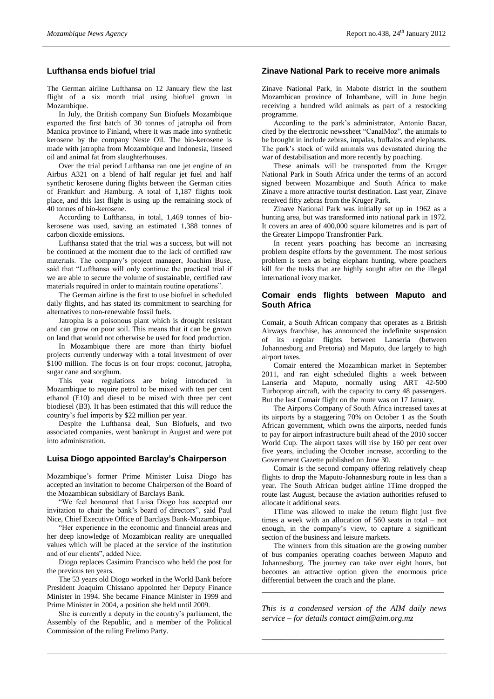#### **Lufthansa ends biofuel trial**

The German airline Lufthansa on 12 January flew the last flight of a six month trial using biofuel grown in Mozambique.

In July, the British company Sun Biofuels Mozambique exported the first batch of 30 tonnes of jatropha oil from Manica province to Finland, where it was made into synthetic kerosene by the company Neste Oil. The bio-kerosene is made with jatropha from Mozambique and Indonesia, linseed oil and animal fat from slaughterhouses.

Over the trial period Lufthansa ran one jet engine of an Airbus A321 on a blend of half regular jet fuel and half synthetic kerosene during flights between the German cities of Frankfurt and Hamburg. A total of 1,187 flights took place, and this last flight is using up the remaining stock of 40 tonnes of bio-kerosene.

According to Lufthansa, in total, 1,469 tonnes of biokerosene was used, saving an estimated 1,388 tonnes of carbon dioxide emissions.

Lufthansa stated that the trial was a success, but will not be continued at the moment due to the lack of certified raw materials. The company's project manager, Joachim Buse, said that "Lufthansa will only continue the practical trial if we are able to secure the volume of sustainable, certified raw materials required in order to maintain routine operations".

The German airline is the first to use biofuel in scheduled daily flights, and has stated its commitment to searching for alternatives to non-renewable fossil fuels.

Jatropha is a poisonous plant which is drought resistant and can grow on poor soil. This means that it can be grown on land that would not otherwise be used for food production.

In Mozambique there are more than thirty biofuel projects currently underway with a total investment of over \$100 million. The focus is on four crops: coconut, jatropha, sugar cane and sorghum.

This year regulations are being introduced in Mozambique to require petrol to be mixed with ten per cent ethanol (E10) and diesel to be mixed with three per cent biodiesel (B3). It has been estimated that this will reduce the country's fuel imports by \$22 million per year.

Despite the Lufthansa deal, Sun Biofuels, and two associated companies, went bankrupt in August and were put into administration.

#### **Luisa Diogo appointed Barclay's Chairperson**

Mozambique's former Prime Minister Luisa Diogo has accepted an invitation to become Chairperson of the Board of the Mozambican subsidiary of Barclays Bank.

"We feel honoured that Luisa Diogo has accepted our invitation to chair the bank's board of directors", said Paul Nice, Chief Executive Office of Barclays Bank-Mozambique.

"Her experience in the economic and financial areas and her deep knowledge of Mozambican reality are unequalled values which will be placed at the service of the institution and of our clients", added Nice.

Diogo replaces Casimiro Francisco who held the post for the previous ten years.

The 53 years old Diogo worked in the World Bank before President Joaquim Chissano appointed her Deputy Finance Minister in 1994. She became Finance Minister in 1999 and Prime Minister in 2004, a position she held until 2009.

She is currently a deputy in the country's parliament, the Assembly of the Republic, and a member of the Political Commission of the ruling Frelimo Party.

#### **Zinave National Park to receive more animals**

Zinave National Park, in Mabote district in the southern Mozambican province of Inhambane, will in June begin receiving a hundred wild animals as part of a restocking programme.

According to the park's administrator, Antonio Bacar, cited by the electronic newssheet "CanalMoz", the animals to be brought in include zebras, impalas, buffalos and elephants. The park's stock of wild animals was devastated during the war of destabilisation and more recently by poaching.

These animals will be transported from the Kruger National Park in South Africa under the terms of an accord signed between Mozambique and South Africa to make Zinave a more attractive tourist destination. Last year, Zinave received fifty zebras from the Kruger Park.

Zinave National Park was initially set up in 1962 as a hunting area, but was transformed into national park in 1972. It covers an area of 400,000 square kilometres and is part of the Greater Limpopo Transfrontier Park.

In recent years poaching has become an increasing problem despite efforts by the government. The most serious problem is seen as being elephant hunting, where poachers kill for the tusks that are highly sought after on the illegal international ivory market.

#### **Comair ends flights between Maputo and South Africa**

Comair, a South African company that operates as a British Airways franchise, has announced the indefinite suspension of its regular flights between Lanseria (between Johannesburg and Pretoria) and Maputo, due largely to high airport taxes.

Comair entered the Mozambican market in September 2011, and ran eight scheduled flights a week between Lanseria and Maputo, normally using ART 42-500 Turboprop aircraft, with the capacity to carry 48 passengers. But the last Comair flight on the route was on 17 January.

The Airports Company of South Africa increased taxes at its airports by a staggering 70% on October 1 as the South African government, which owns the airports, needed funds to pay for airport infrastructure built ahead of the 2010 soccer World Cup. The airport taxes will rise by 160 per cent over five years, including the October increase, according to the Government Gazette published on June 30.

Comair is the second company offering relatively cheap flights to drop the Maputo-Johannesburg route in less than a year. The South African budget airline 1Time dropped the route last August, because the aviation authorities refused to allocate it additional seats.

1Time was allowed to make the return flight just five times a week with an allocation of 560 seats in total – not enough, in the company's view, to capture a significant section of the business and leisure markets.

The winners from this situation are the growing number of bus companies operating coaches between Maputo and Johannesburg. The journey can take over eight hours, but becomes an attractive option given the enormous price differential between the coach and the plane.

*This is a condensed version of the AIM daily news service – for details contact [aim@aim.org.mz](mailto:aim@aim.org.mz)*

*\_\_\_\_\_\_\_\_\_\_\_\_\_\_\_\_\_\_\_\_\_\_\_\_\_\_\_\_\_\_\_\_\_\_\_\_\_\_\_\_\_\_\_\_*

*\_\_\_\_\_\_\_\_\_\_\_\_\_\_\_\_\_\_\_\_\_\_\_\_\_\_\_\_\_\_\_\_\_\_\_\_\_\_\_\_\_\_\_\_*